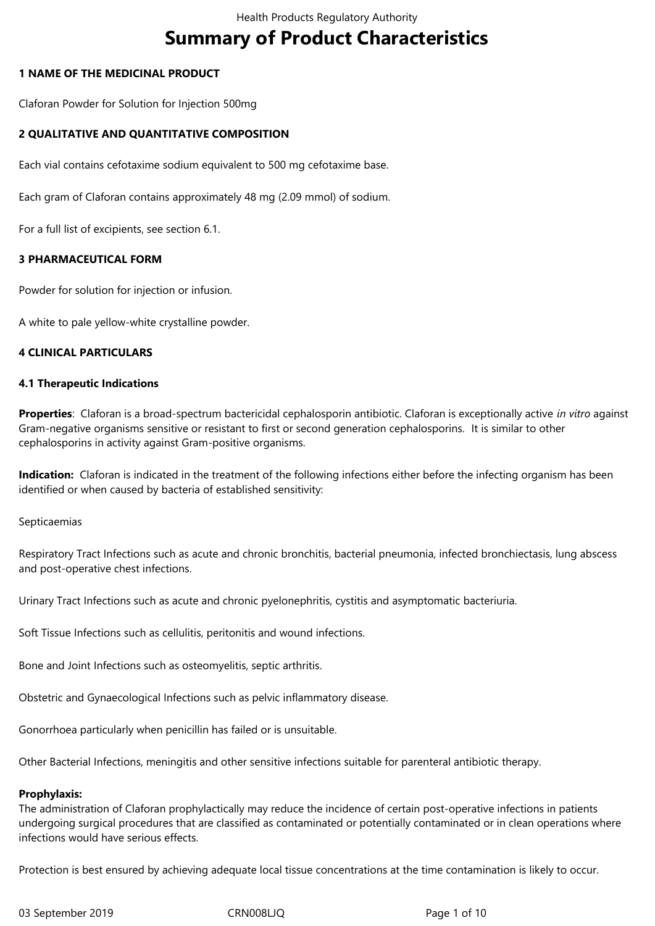# **Summary of Product Characteristics**

# **1 NAME OF THE MEDICINAL PRODUCT**

Claforan Powder for Solution for Injection 500mg

# **2 QUALITATIVE AND QUANTITATIVE COMPOSITION**

Each vial contains cefotaxime sodium equivalent to 500 mg cefotaxime base.

Each gram of Claforan contains approximately 48 mg (2.09 mmol) of sodium.

For a full list of excipients, see section 6.1.

# **3 PHARMACEUTICAL FORM**

Powder for solution for injection or infusion.

A white to pale yellow-white crystalline powder.

# **4 CLINICAL PARTICULARS**

#### **4.1 Therapeutic Indications**

**Properties**: Claforan is a broad-spectrum bactericidal cephalosporin antibiotic. Claforan is exceptionally active *in vitro* against Gram-negative organisms sensitive or resistant to first or second generation cephalosporins. It is similar to other cephalosporins in activity against Gram-positive organisms.

**Indication:** Claforan is indicated in the treatment of the following infections either before the infecting organism has been identified or when caused by bacteria of established sensitivity:

Septicaemias

Respiratory Tract Infections such as acute and chronic bronchitis, bacterial pneumonia, infected bronchiectasis, lung abscess and post-operative chest infections.

Urinary Tract Infections such as acute and chronic pyelonephritis, cystitis and asymptomatic bacteriuria.

Soft Tissue Infections such as cellulitis, peritonitis and wound infections.

Bone and Joint Infections such as osteomyelitis, septic arthritis.

Obstetric and Gynaecological Infections such as pelvic inflammatory disease.

Gonorrhoea particularly when penicillin has failed or is unsuitable.

Other Bacterial Infections, meningitis and other sensitive infections suitable for parenteral antibiotic therapy.

#### **Prophylaxis:**

The administration of Claforan prophylactically may reduce the incidence of certain post-operative infections in patients undergoing surgical procedures that are classified as contaminated or potentially contaminated or in clean operations where infections would have serious effects.

Protection is best ensured by achieving adequate local tissue concentrations at the time contamination is likely to occur.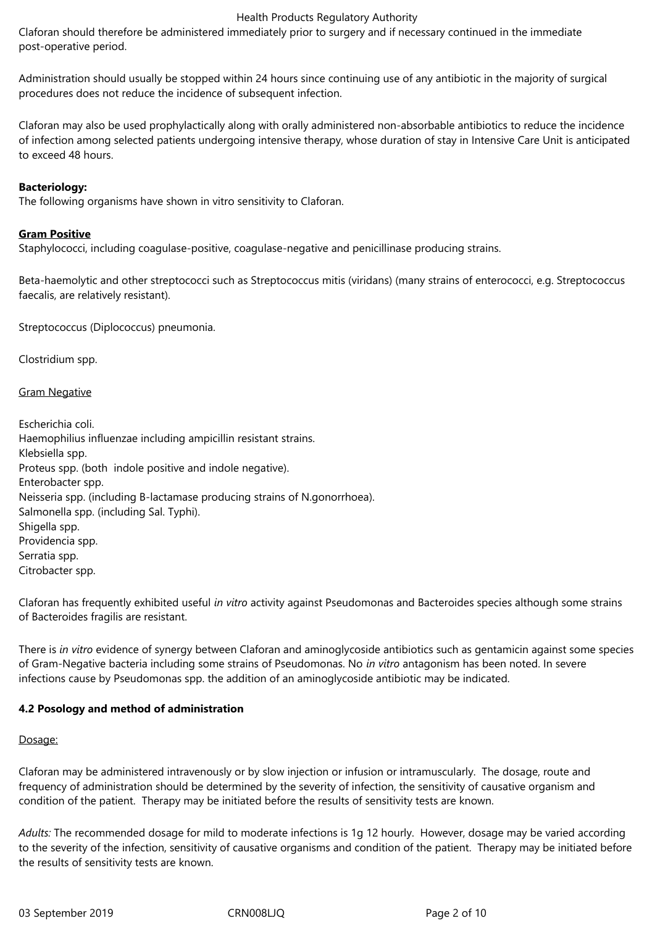Claforan should therefore be administered immediately prior to surgery and if necessary continued in the immediate post-operative period.

Administration should usually be stopped within 24 hours since continuing use of any antibiotic in the majority of surgical procedures does not reduce the incidence of subsequent infection.

Claforan may also be used prophylactically along with orally administered non-absorbable antibiotics to reduce the incidence of infection among selected patients undergoing intensive therapy, whose duration of stay in Intensive Care Unit is anticipated to exceed 48 hours.

#### **Bacteriology:**

The following organisms have shown in vitro sensitivity to Claforan.

#### **Gram Positive**

Staphylococci, including coagulase-positive, coagulase-negative and penicillinase producing strains.

Beta-haemolytic and other streptococci such as Streptococcus mitis (viridans) (many strains of enterococci, e.g. Streptococcus faecalis, are relatively resistant).

Streptococcus (Diplococcus) pneumonia.

Clostridium spp.

Gram Negative

Escherichia coli. Haemophilius influenzae including ampicillin resistant strains. Klebsiella spp. Proteus spp. (both indole positive and indole negative). Enterobacter spp. Neisseria spp. (including B-lactamase producing strains of N.gonorrhoea). Salmonella spp. (including Sal. Typhi). Shigella spp. Providencia spp. Serratia spp. Citrobacter spp.

Claforan has frequently exhibited useful *in vitro* activity against Pseudomonas and Bacteroides species although some strains of Bacteroides fragilis are resistant.

There is *in vitro* evidence of synergy between Claforan and aminoglycoside antibiotics such as gentamicin against some species of Gram-Negative bacteria including some strains of Pseudomonas. No *in vitro* antagonism has been noted. In severe infections cause by Pseudomonas spp. the addition of an aminoglycoside antibiotic may be indicated.

#### **4.2 Posology and method of administration**

#### Dosage:

Claforan may be administered intravenously or by slow injection or infusion or intramuscularly. The dosage, route and frequency of administration should be determined by the severity of infection, the sensitivity of causative organism and condition of the patient. Therapy may be initiated before the results of sensitivity tests are known.

*Adults:* The recommended dosage for mild to moderate infections is 1g 12 hourly. However, dosage may be varied according to the severity of the infection, sensitivity of causative organisms and condition of the patient. Therapy may be initiated before the results of sensitivity tests are known.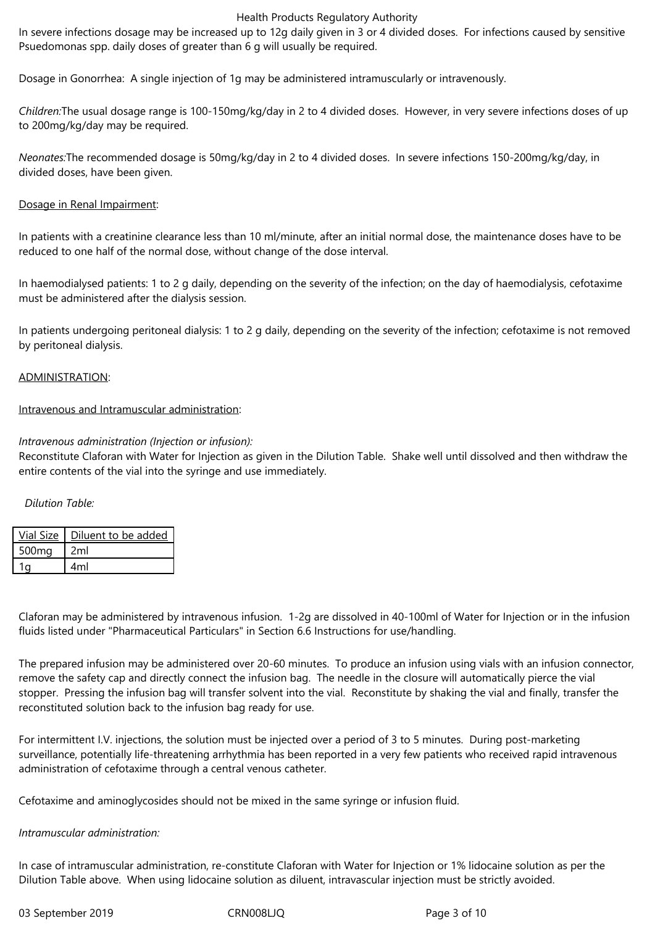In severe infections dosage may be increased up to 12g daily given in 3 or 4 divided doses. For infections caused by sensitive Psuedomonas spp. daily doses of greater than 6 g will usually be required.

Dosage in Gonorrhea: A single injection of 1g may be administered intramuscularly or intravenously.

*Children:*The usual dosage range is 100-150mg/kg/day in 2 to 4 divided doses. However, in very severe infections doses of up to 200mg/kg/day may be required.

*Neonates:*The recommended dosage is 50mg/kg/day in 2 to 4 divided doses. In severe infections 150-200mg/kg/day, in divided doses, have been given.

#### Dosage in Renal Impairment:

In patients with a creatinine clearance less than 10 ml/minute, after an initial normal dose, the maintenance doses have to be reduced to one half of the normal dose, without change of the dose interval.

In haemodialysed patients: 1 to 2 g daily, depending on the severity of the infection; on the day of haemodialysis, cefotaxime must be administered after the dialysis session.

In patients undergoing peritoneal dialysis: 1 to 2 g daily, depending on the severity of the infection; cefotaxime is not removed by peritoneal dialysis.

#### ADMINISTRATION:

#### Intravenous and Intramuscular administration:

# *Intravenous administration (Injection or infusion):*

Reconstitute Claforan with Water for Injection as given in the Dilution Table. Shake well until dissolved and then withdraw the entire contents of the vial into the syringe and use immediately.

#### *Dilution Table:*

|                   | Vial Size   Diluent to be added |
|-------------------|---------------------------------|
| 500 <sub>mg</sub> | 2ml                             |
|                   | 4ml                             |

Claforan may be administered by intravenous infusion. 1-2g are dissolved in 40-100ml of Water for Injection or in the infusion fluids listed under "Pharmaceutical Particulars" in Section 6.6 Instructions for use/handling.

The prepared infusion may be administered over 20-60 minutes. To produce an infusion using vials with an infusion connector, remove the safety cap and directly connect the infusion bag. The needle in the closure will automatically pierce the vial stopper. Pressing the infusion bag will transfer solvent into the vial. Reconstitute by shaking the vial and finally, transfer the reconstituted solution back to the infusion bag ready for use.

For intermittent I.V. injections, the solution must be injected over a period of 3 to 5 minutes. During post-marketing surveillance, potentially life-threatening arrhythmia has been reported in a very few patients who received rapid intravenous administration of cefotaxime through a central venous catheter.

Cefotaxime and aminoglycosides should not be mixed in the same syringe or infusion fluid.

#### *Intramuscular administration:*

In case of intramuscular administration, re-constitute Claforan with Water for Injection or 1% lidocaine solution as per the Dilution Table above. When using lidocaine solution as diluent, intravascular injection must be strictly avoided.

03 September 2019 CRN008LJQ Page 3 of 10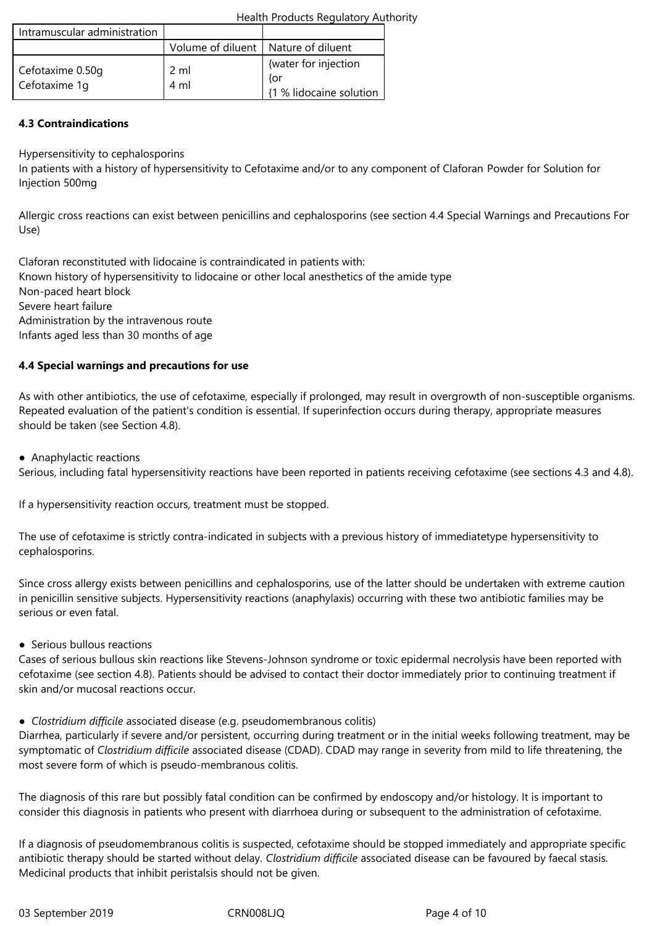| Health Products Regulatory Authority |
|--------------------------------------|
|--------------------------------------|

| Intramuscular administration      |                                       |                                                        |
|-----------------------------------|---------------------------------------|--------------------------------------------------------|
|                                   | Volume of diluent   Nature of diluent |                                                        |
| Cefotaxime 0.50g<br>Cefotaxime 1q | 2 ml<br>4 ml                          | {water for injection<br>{or<br>{1 % lidocaine solution |

# **4.3 Contraindications**

Hypersensitivity to cephalosporins

In patients with a history of hypersensitivity to Cefotaxime and/or to any component of Claforan Powder for Solution for Injection 500mg

Allergic cross reactions can exist between penicillins and cephalosporins (see section 4.4 Special Warnings and Precautions For Use)

Claforan reconstituted with lidocaine is contraindicated in patients with: Known history of hypersensitivity to lidocaine or other local anesthetics of the amide type Non-paced heart block Severe heart failure Administration by the intravenous route Infants aged less than 30 months of age

# **4.4 Special warnings and precautions for use**

As with other antibiotics, the use of cefotaxime, especially if prolonged, may result in overgrowth of non-susceptible organisms. Repeated evaluation of the patient's condition is essential. If superinfection occurs during therapy, appropriate measures should be taken (see Section 4.8).

● Anaphylactic reactions

Serious, including fatal hypersensitivity reactions have been reported in patients receiving cefotaxime (see sections 4.3 and 4.8).

If a hypersensitivity reaction occurs, treatment must be stopped.

The use of cefotaxime is strictly contra-indicated in subjects with a previous history of immediatetype hypersensitivity to cephalosporins.

Since cross allergy exists between penicillins and cephalosporins, use of the latter should be undertaken with extreme caution in penicillin sensitive subjects. Hypersensitivity reactions (anaphylaxis) occurring with these two antibiotic families may be serious or even fatal.

● Serious bullous reactions

Cases of serious bullous skin reactions like Stevens-Johnson syndrome or toxic epidermal necrolysis have been reported with cefotaxime (see section 4.8). Patients should be advised to contact their doctor immediately prior to continuing treatment if skin and/or mucosal reactions occur.

*● Clostridium difficile* associated disease (e.g. pseudomembranous colitis)

Diarrhea, particularly if severe and/or persistent, occurring during treatment or in the initial weeks following treatment, may be symptomatic of *Clostridium difficile* associated disease (CDAD). CDAD may range in severity from mild to life threatening, the most severe form of which is pseudo-membranous colitis.

The diagnosis of this rare but possibly fatal condition can be confirmed by endoscopy and/or histology. It is important to consider this diagnosis in patients who present with diarrhoea during or subsequent to the administration of cefotaxime.

If a diagnosis of pseudomembranous colitis is suspected, cefotaxime should be stopped immediately and appropriate specific antibiotic therapy should be started without delay. *Clostridium difficile* associated disease can be favoured by faecal stasis. Medicinal products that inhibit peristalsis should not be given.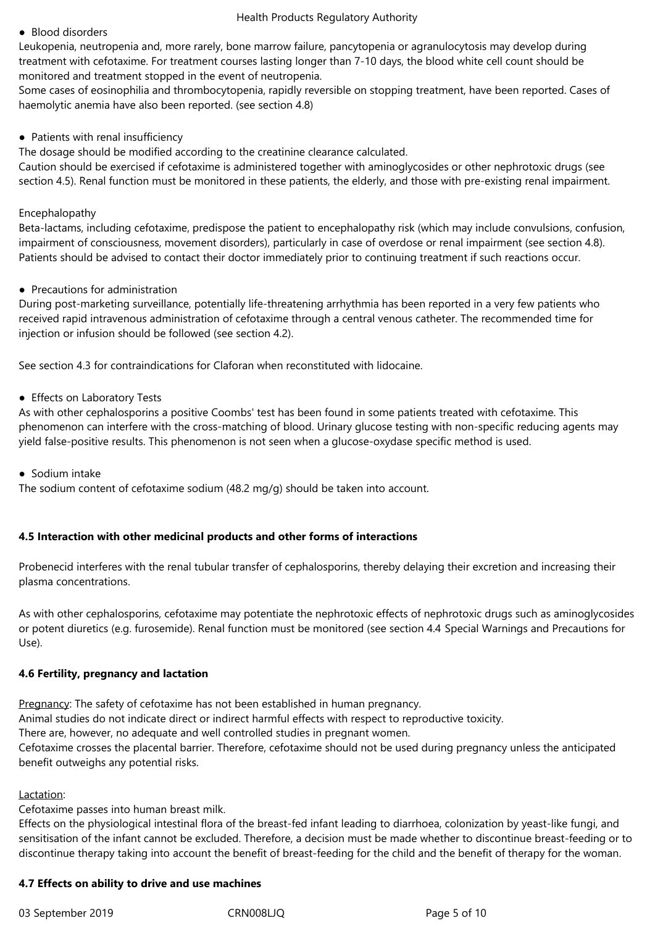#### ● Blood disorders

Leukopenia, neutropenia and, more rarely, bone marrow failure, pancytopenia or agranulocytosis may develop during treatment with cefotaxime. For treatment courses lasting longer than 7-10 days, the blood white cell count should be monitored and treatment stopped in the event of neutropenia.

Some cases of eosinophilia and thrombocytopenia, rapidly reversible on stopping treatment, have been reported. Cases of haemolytic anemia have also been reported. (see section 4.8)

#### ● Patients with renal insufficiency

The dosage should be modified according to the creatinine clearance calculated.

Caution should be exercised if cefotaxime is administered together with aminoglycosides or other nephrotoxic drugs (see section 4.5). Renal function must be monitored in these patients, the elderly, and those with pre-existing renal impairment.

#### Encephalopathy

Beta-lactams, including cefotaxime, predispose the patient to encephalopathy risk (which may include convulsions, confusion, impairment of consciousness, movement disorders), particularly in case of overdose or renal impairment (see section 4.8). Patients should be advised to contact their doctor immediately prior to continuing treatment if such reactions occur.

#### ● Precautions for administration

During post-marketing surveillance, potentially life-threatening arrhythmia has been reported in a very few patients who received rapid intravenous administration of cefotaxime through a central venous catheter. The recommended time for injection or infusion should be followed (see section 4.2).

See section 4.3 for contraindications for Claforan when reconstituted with lidocaine.

#### ● Effects on Laboratory Tests

As with other cephalosporins a positive Coombs' test has been found in some patients treated with cefotaxime. This phenomenon can interfere with the cross-matching of blood. Urinary glucose testing with non-specific reducing agents may yield false-positive results. This phenomenon is not seen when a glucose-oxydase specific method is used.

#### ● Sodium intake

The sodium content of cefotaxime sodium (48.2 mg/g) should be taken into account.

#### **4.5 Interaction with other medicinal products and other forms of interactions**

Probenecid interferes with the renal tubular transfer of cephalosporins, thereby delaying their excretion and increasing their plasma concentrations.

As with other cephalosporins, cefotaxime may potentiate the nephrotoxic effects of nephrotoxic drugs such as aminoglycosides or potent diuretics (e.g. furosemide). Renal function must be monitored (see section 4.4 Special Warnings and Precautions for Use).

#### **4.6 Fertility, pregnancy and lactation**

Pregnancy: The safety of cefotaxime has not been established in human pregnancy. Animal studies do not indicate direct or indirect harmful effects with respect to reproductive toxicity. There are, however, no adequate and well controlled studies in pregnant women. Cefotaxime crosses the placental barrier. Therefore, cefotaxime should not be used during pregnancy unless the anticipated benefit outweighs any potential risks.

## Lactation:

Cefotaxime passes into human breast milk.

Effects on the physiological intestinal flora of the breast-fed infant leading to diarrhoea, colonization by yeast-like fungi, and sensitisation of the infant cannot be excluded. Therefore, a decision must be made whether to discontinue breast-feeding or to discontinue therapy taking into account the benefit of breast-feeding for the child and the benefit of therapy for the woman.

#### **4.7 Effects on ability to drive and use machines**

03 September 2019 CRN008LJQ Page 5 of 10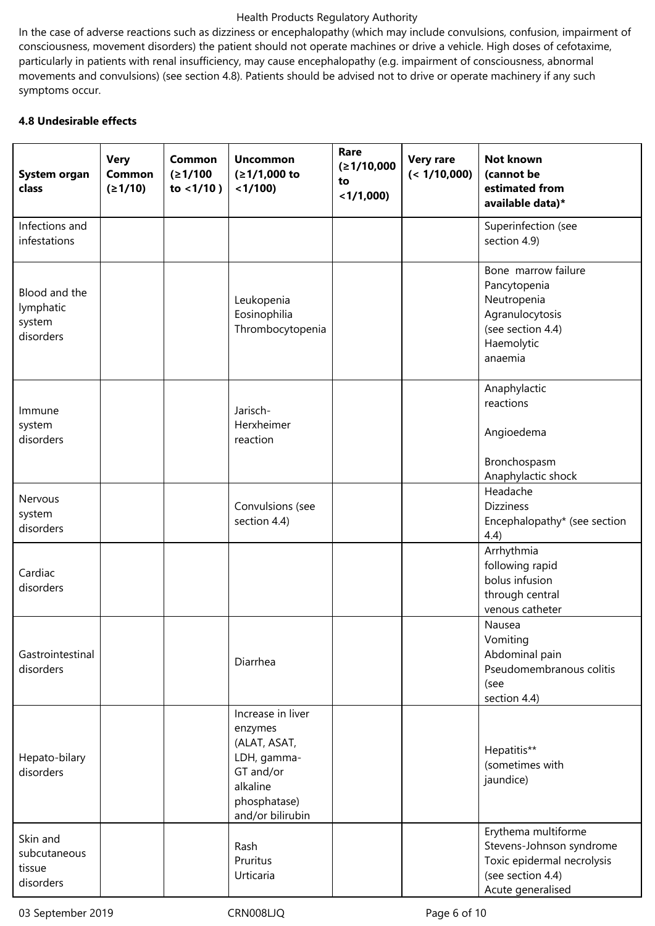In the case of adverse reactions such as dizziness or encephalopathy (which may include convulsions, confusion, impairment of consciousness, movement disorders) the patient should not operate machines or drive a vehicle. High doses of cefotaxime, particularly in patients with renal insufficiency, may cause encephalopathy (e.g. impairment of consciousness, abnormal movements and convulsions) (see section 4.8). Patients should be advised not to drive or operate machinery if any such symptoms occur.

# **4.8 Undesirable effects**

| System organ<br>class                             | <b>Very</b><br><b>Common</b><br>(≥1/10) | Common<br>(21/100)<br>to $<1/10$ ) | <b>Uncommon</b><br>$(≥1/1,000$ to<br>$<$ 1/100)                                                                          | Rare<br>(≥1/10,000<br>to<br>$<$ 1/1,000) | <b>Very rare</b><br>(< 1/10,000) | <b>Not known</b><br>(cannot be<br>estimated from<br>available data)*                                                    |
|---------------------------------------------------|-----------------------------------------|------------------------------------|--------------------------------------------------------------------------------------------------------------------------|------------------------------------------|----------------------------------|-------------------------------------------------------------------------------------------------------------------------|
| Infections and<br>infestations                    |                                         |                                    |                                                                                                                          |                                          |                                  | Superinfection (see<br>section 4.9)                                                                                     |
| Blood and the<br>lymphatic<br>system<br>disorders |                                         |                                    | Leukopenia<br>Eosinophilia<br>Thrombocytopenia                                                                           |                                          |                                  | Bone marrow failure<br>Pancytopenia<br>Neutropenia<br>Agranulocytosis<br>(see section 4.4)<br>Haemolytic<br>anaemia     |
| Immune<br>system<br>disorders                     |                                         |                                    | Jarisch-<br>Herxheimer<br>reaction                                                                                       |                                          |                                  | Anaphylactic<br>reactions<br>Angioedema<br>Bronchospasm<br>Anaphylactic shock                                           |
| Nervous<br>system<br>disorders                    |                                         |                                    | Convulsions (see<br>section 4.4)                                                                                         |                                          |                                  | Headache<br><b>Dizziness</b><br>Encephalopathy* (see section<br>4.4)                                                    |
| Cardiac<br>disorders                              |                                         |                                    |                                                                                                                          |                                          |                                  | Arrhythmia<br>following rapid<br>bolus infusion<br>through central<br>venous catheter                                   |
| Gastrointestinal<br>disorders                     |                                         |                                    | Diarrhea                                                                                                                 |                                          |                                  | Nausea<br>Vomiting<br>Abdominal pain<br>Pseudomembranous colitis<br>(see<br>section 4.4)                                |
| Hepato-bilary<br>disorders                        |                                         |                                    | Increase in liver<br>enzymes<br>(ALAT, ASAT,<br>LDH, gamma-<br>GT and/or<br>alkaline<br>phosphatase)<br>and/or bilirubin |                                          |                                  | Hepatitis**<br>(sometimes with<br>jaundice)                                                                             |
| Skin and<br>subcutaneous<br>tissue<br>disorders   |                                         |                                    | Rash<br>Pruritus<br>Urticaria                                                                                            |                                          |                                  | Erythema multiforme<br>Stevens-Johnson syndrome<br>Toxic epidermal necrolysis<br>(see section 4.4)<br>Acute generalised |

03 September 2019 CRN008LJQ Page 6 of 10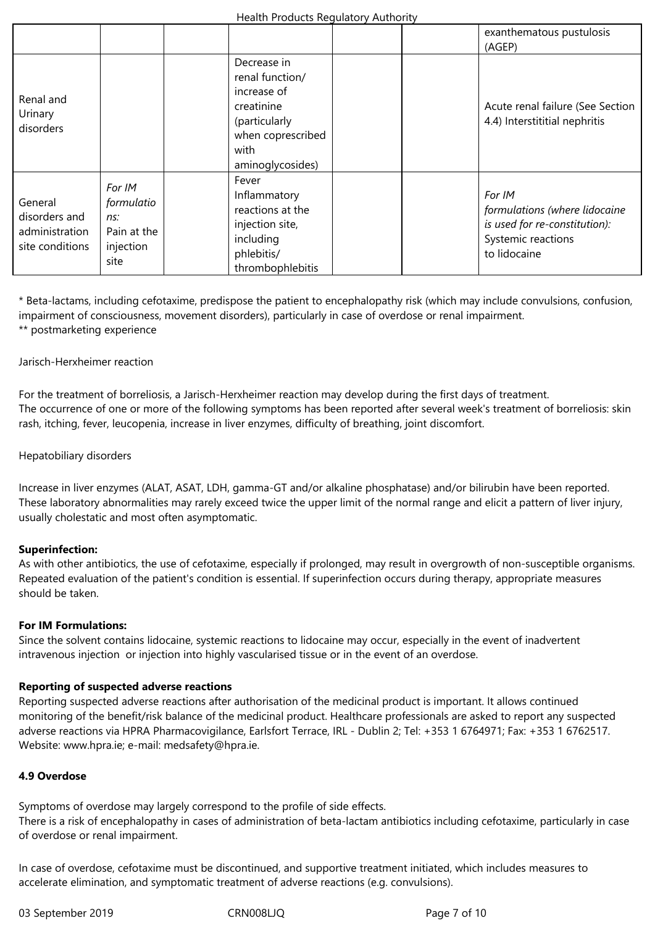|                                                               |                                                                 |                                   |                                                                                          | exanthematous pustulosis<br>(AGEP)                                                                             |
|---------------------------------------------------------------|-----------------------------------------------------------------|-----------------------------------|------------------------------------------------------------------------------------------|----------------------------------------------------------------------------------------------------------------|
| Renal and<br>Urinary<br>disorders                             |                                                                 | increase of<br>creatinine<br>with | Decrease in<br>renal function/<br>(particularly<br>when coprescribed<br>aminoglycosides) | Acute renal failure (See Section<br>4.4) Interstititial nephritis                                              |
| General<br>disorders and<br>administration<br>site conditions | For IM<br>formulatio<br>ns:<br>Pain at the<br>injection<br>site | Fever<br>including<br>phlebitis/  | Inflammatory<br>reactions at the<br>injection site,<br>thrombophlebitis                  | For IM<br>formulations (where lidocaine<br>is used for re-constitution):<br>Systemic reactions<br>to lidocaine |

\* Beta-lactams, including cefotaxime, predispose the patient to encephalopathy risk (which may include convulsions, confusion, impairment of consciousness, movement disorders), particularly in case of overdose or renal impairment. \*\* postmarketing experience

#### Jarisch-Herxheimer reaction

For the treatment of borreliosis, a Jarisch-Herxheimer reaction may develop during the first days of treatment. The occurrence of one or more of the following symptoms has been reported after several week's treatment of borreliosis: skin rash, itching, fever, leucopenia, increase in liver enzymes, difficulty of breathing, joint discomfort.

# Hepatobiliary disorders

Increase in liver enzymes (ALAT, ASAT, LDH, gamma-GT and/or alkaline phosphatase) and/or bilirubin have been reported. These laboratory abnormalities may rarely exceed twice the upper limit of the normal range and elicit a pattern of liver injury, usually cholestatic and most often asymptomatic.

#### **Superinfection:**

As with other antibiotics, the use of cefotaxime, especially if prolonged, may result in overgrowth of non-susceptible organisms. Repeated evaluation of the patient's condition is essential. If superinfection occurs during therapy, appropriate measures should be taken.

#### **For IM Formulations:**

Since the solvent contains lidocaine, systemic reactions to lidocaine may occur, especially in the event of inadvertent intravenous injection or injection into highly vascularised tissue or in the event of an overdose.

#### **Reporting of suspected adverse reactions**

Reporting suspected adverse reactions after authorisation of the medicinal product is important. It allows continued monitoring of the benefit/risk balance of the medicinal product. Healthcare professionals are asked to report any suspected adverse reactions via HPRA Pharmacovigilance, Earlsfort Terrace, IRL - Dublin 2; Tel: +353 1 6764971; Fax: +353 1 6762517. Website: www.hpra.ie; e-mail: medsafety@hpra.ie.

# **4.9 Overdose**

Symptoms of overdose may largely correspond to the profile of side effects. There is a risk of encephalopathy in cases of administration of beta-lactam antibiotics including cefotaxime, particularly in case of overdose or renal impairment.

In case of overdose, cefotaxime must be discontinued, and supportive treatment initiated, which includes measures to accelerate elimination, and symptomatic treatment of adverse reactions (e.g. convulsions).

03 September 2019 CRN008LJQ Page 7 of 10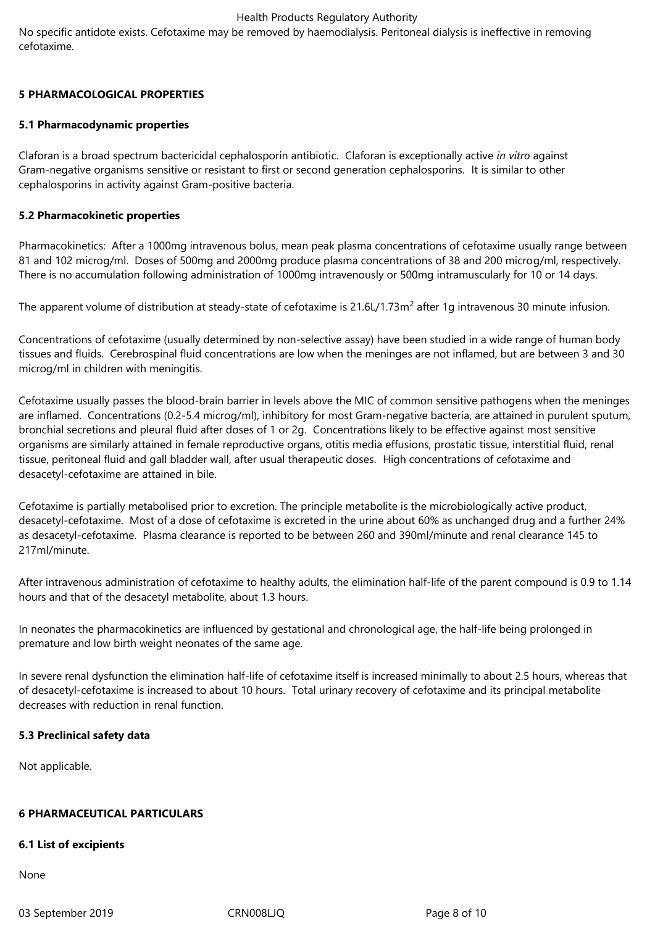No specific antidote exists. Cefotaxime may be removed by haemodialysis. Peritoneal dialysis is ineffective in removing cefotaxime.

# **5 PHARMACOLOGICAL PROPERTIES**

# **5.1 Pharmacodynamic properties**

Claforan is a broad spectrum bactericidal cephalosporin antibiotic. Claforan is exceptionally active *in vitro* against Gram-negative organisms sensitive or resistant to first or second generation cephalosporins. It is similar to other cephalosporins in activity against Gram-positive bacteria.

# **5.2 Pharmacokinetic properties**

Pharmacokinetics: After a 1000mg intravenous bolus, mean peak plasma concentrations of cefotaxime usually range between 81 and 102 microg/ml. Doses of 500mg and 2000mg produce plasma concentrations of 38 and 200 microg/ml, respectively. There is no accumulation following administration of 1000mg intravenously or 500mg intramuscularly for 10 or 14 days.

The apparent volume of distribution at steady-state of cefotaxime is 21.6L/1.73m<sup>2</sup> after 1g intravenous 30 minute infusion.

Concentrations of cefotaxime (usually determined by non-selective assay) have been studied in a wide range of human body tissues and fluids. Cerebrospinal fluid concentrations are low when the meninges are not inflamed, but are between 3 and 30 microg/ml in children with meningitis.

Cefotaxime usually passes the blood-brain barrier in levels above the MIC of common sensitive pathogens when the meninges are inflamed. Concentrations (0.2-5.4 microg/ml), inhibitory for most Gram-negative bacteria, are attained in purulent sputum, bronchial secretions and pleural fluid after doses of 1 or 2g. Concentrations likely to be effective against most sensitive organisms are similarly attained in female reproductive organs, otitis media effusions, prostatic tissue, interstitial fluid, renal tissue, peritoneal fluid and gall bladder wall, after usual therapeutic doses. High concentrations of cefotaxime and desacetyl-cefotaxime are attained in bile.

Cefotaxime is partially metabolised prior to excretion. The principle metabolite is the microbiologically active product, desacetyl-cefotaxime. Most of a dose of cefotaxime is excreted in the urine about 60% as unchanged drug and a further 24% as desacetyl-cefotaxime. Plasma clearance is reported to be between 260 and 390ml/minute and renal clearance 145 to 217ml/minute.

After intravenous administration of cefotaxime to healthy adults, the elimination half-life of the parent compound is 0.9 to 1.14 hours and that of the desacetyl metabolite, about 1.3 hours.

In neonates the pharmacokinetics are influenced by gestational and chronological age, the half-life being prolonged in premature and low birth weight neonates of the same age.

In severe renal dysfunction the elimination half-life of cefotaxime itself is increased minimally to about 2.5 hours, whereas that of desacetyl-cefotaxime is increased to about 10 hours. Total urinary recovery of cefotaxime and its principal metabolite decreases with reduction in renal function.

# **5.3 Preclinical safety data**

Not applicable.

# **6 PHARMACEUTICAL PARTICULARS**

#### **6.1 List of excipients**

None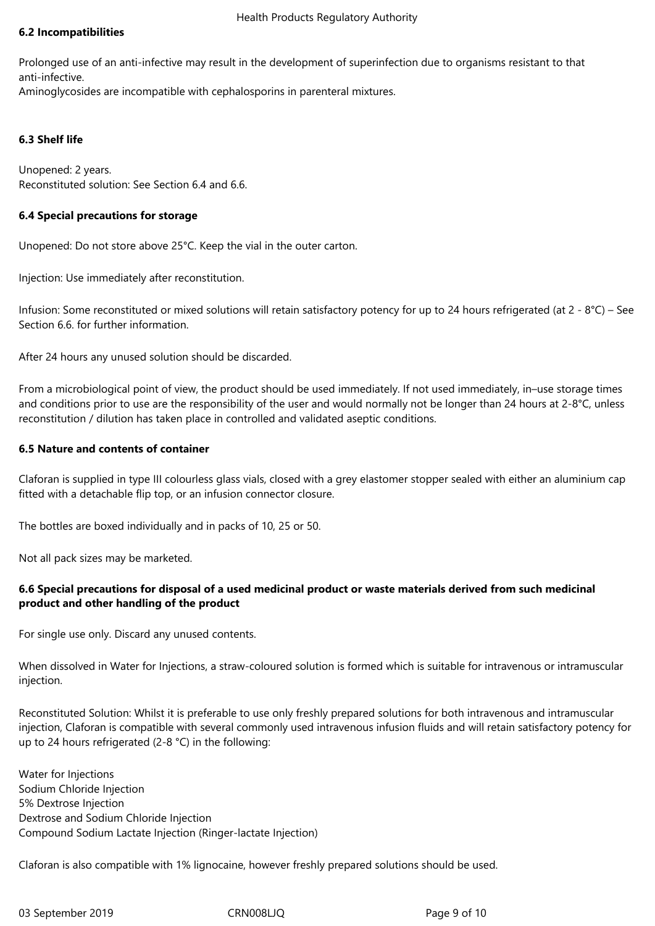# **6.2 Incompatibilities**

Prolonged use of an anti-infective may result in the development of superinfection due to organisms resistant to that anti-infective.

Aminoglycosides are incompatible with cephalosporins in parenteral mixtures.

# **6.3 Shelf life**

Unopened: 2 years. Reconstituted solution: See Section 6.4 and 6.6.

# **6.4 Special precautions for storage**

Unopened: Do not store above 25°C. Keep the vial in the outer carton.

Injection: Use immediately after reconstitution.

Infusion: Some reconstituted or mixed solutions will retain satisfactory potency for up to 24 hours refrigerated (at 2 - 8°C) – See Section 6.6. for further information.

After 24 hours any unused solution should be discarded.

From a microbiological point of view, the product should be used immediately. If not used immediately, in–use storage times and conditions prior to use are the responsibility of the user and would normally not be longer than 24 hours at 2-8°C, unless reconstitution / dilution has taken place in controlled and validated aseptic conditions.

# **6.5 Nature and contents of container**

Claforan is supplied in type III colourless glass vials, closed with a grey elastomer stopper sealed with either an aluminium cap fitted with a detachable flip top, or an infusion connector closure.

The bottles are boxed individually and in packs of 10, 25 or 50.

Not all pack sizes may be marketed.

# **6.6 Special precautions for disposal of a used medicinal product or waste materials derived from such medicinal product and other handling of the product**

For single use only. Discard any unused contents.

When dissolved in Water for Injections, a straw-coloured solution is formed which is suitable for intravenous or intramuscular injection.

Reconstituted Solution: Whilst it is preferable to use only freshly prepared solutions for both intravenous and intramuscular injection, Claforan is compatible with several commonly used intravenous infusion fluids and will retain satisfactory potency for up to 24 hours refrigerated (2-8 °C) in the following:

Water for Injections Sodium Chloride Injection 5% Dextrose Injection Dextrose and Sodium Chloride Injection Compound Sodium Lactate Injection (Ringer-lactate Injection)

Claforan is also compatible with 1% lignocaine, however freshly prepared solutions should be used.

03 September 2019 CRN008LJQ Page 9 of 10